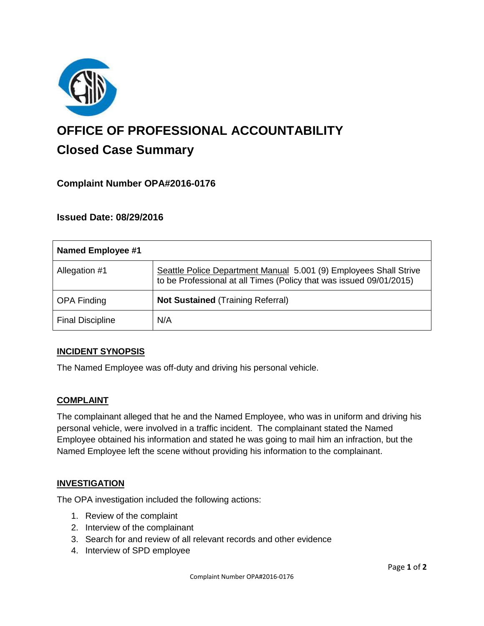

# **OFFICE OF PROFESSIONAL ACCOUNTABILITY Closed Case Summary**

# **Complaint Number OPA#2016-0176**

# **Issued Date: 08/29/2016**

| <b>Named Employee #1</b> |                                                                                                                                          |
|--------------------------|------------------------------------------------------------------------------------------------------------------------------------------|
| Allegation #1            | Seattle Police Department Manual 5.001 (9) Employees Shall Strive<br>to be Professional at all Times (Policy that was issued 09/01/2015) |
| <b>OPA Finding</b>       | <b>Not Sustained (Training Referral)</b>                                                                                                 |
| <b>Final Discipline</b>  | N/A                                                                                                                                      |

## **INCIDENT SYNOPSIS**

The Named Employee was off-duty and driving his personal vehicle.

## **COMPLAINT**

The complainant alleged that he and the Named Employee, who was in uniform and driving his personal vehicle, were involved in a traffic incident. The complainant stated the Named Employee obtained his information and stated he was going to mail him an infraction, but the Named Employee left the scene without providing his information to the complainant.

#### **INVESTIGATION**

The OPA investigation included the following actions:

- 1. Review of the complaint
- 2. Interview of the complainant
- 3. Search for and review of all relevant records and other evidence
- 4. Interview of SPD employee